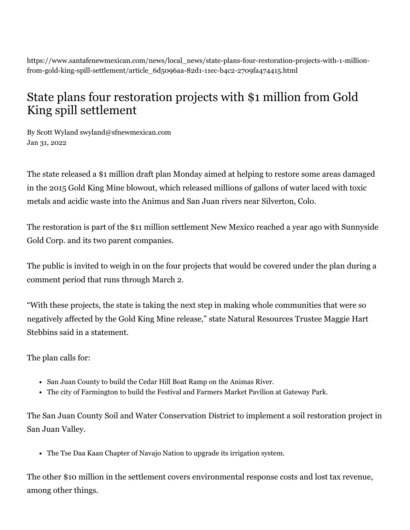https://www.santafenewmexican.com/news/local\_news/state-plans-four-restoration-projects-with-1-millionfrom-gold-king-spill-settlement/article\_6d5096aa-82d1-11ec-b4c2-2709fa474415.html

## State plans four restoration projects with \$1 million from Gold King spill settlement

By Scott Wyland [swyland@sfnewmexican.com](https://www.santafenewmexican.com/users/profile/swyland) Jan 31, 2022

The state released a \$1 million draft plan Monday aimed at helping to restore some areas damaged in the 2015 Gold King Mine blowout, which released millions of gallons of water laced with toxic metals and acidic waste into the Animus and San Juan rivers near Silverton, Colo.

The [restoration](https://onrt.env.nm.gov/gold-king-mine-documents) is part of the [\\$11 million settlement](https://onrt.env.nm.gov/wp-content/uploads/2022/01/SettlementAgreement_2021.pdf) New Mexico reached a year ago with Sunnyside Gold Corp. and its two parent companies.

The public is invited to weigh in on the four projects that would be covered under the plan during a comment period that runs through March 2.

"With these projects, the state is taking the next step in making whole communities that were so negatively affected by the Gold King Mine release," state Natural Resources Trustee Maggie Hart Stebbins said in a statement.

The plan calls for:

- San Juan County to build the Cedar Hill Boat Ramp on the Animas River.
- The city of Farmington to build the Festival and Farmers Market Pavilion at Gateway Park.

The San Juan County Soil and Water Conservation District to implement a soil restoration project in San Juan Valley.

The Tse Daa Kaan Chapter of Navajo Nation to upgrade its irrigation system.

The other \$10 million in the settlement covers environmental response costs and lost tax revenue, among other things.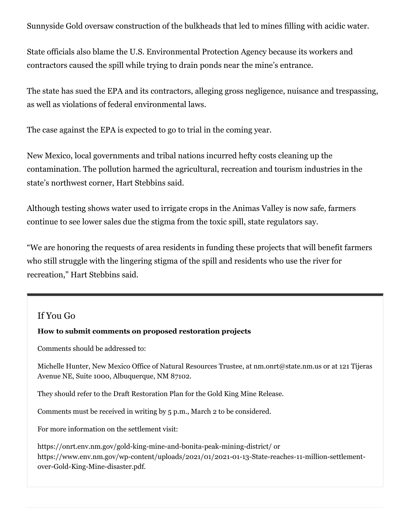Sunnyside Gold oversaw construction of the bulkheads that led to mines filling with acidic water.

State officials also blame the U.S. Environmental Protection Agency because its workers and contractors caused the spill while trying to drain ponds near the mine's entrance.

The state has sued the EPA and its contractors, alleging gross negligence, nuisance and trespassing, as well as violations of federal environmental laws.

The case against the EPA is expected to go to trial in the coming year.

New Mexico, local governments and tribal nations incurred hefty costs cleaning up the contamination. The pollution harmed the agricultural, recreation and tourism industries in the state's northwest corner, Hart Stebbins said.

Although testing shows water used to irrigate crops in the Animas Valley is now safe, farmers continue to see lower sales due the stigma from the toxic spill, state regulators say.

"We are honoring the requests of area residents in funding these projects that will benefit farmers who still struggle with the lingering stigma of the spill and residents who use the river for recreation," Hart Stebbins said.

## If You Go

## **How to submit comments on proposed restoration projects**

Comments should be addressed to:

Michelle Hunter, New Mexico Office of Natural Resources Trustee, at nm.onrt@state.nm.us or at 121 Tijeras Avenue NE, Suite 1000, Albuquerque, NM 87102.

They should refer to the Draft Restoration Plan for the Gold King Mine Release.

Comments must be received in writing by 5 p.m., March 2 to be considered.

For more information on the settlement visit:

<https://onrt.env.nm.gov/gold-king-mine-and-bonita-peak-mining-district/> or [https://www.env.nm.gov/wp-content/uploads/2021/01/2021-01-13-State-reaches-11-million-settlement](https://www.env.nm.gov/wp-content/uploads/2021/01/2021-01-13-State-reaches-11-million-settlement-over-Gold-King-Mine-disaster.pdf)over-Gold-King-Mine-disaster.pdf.